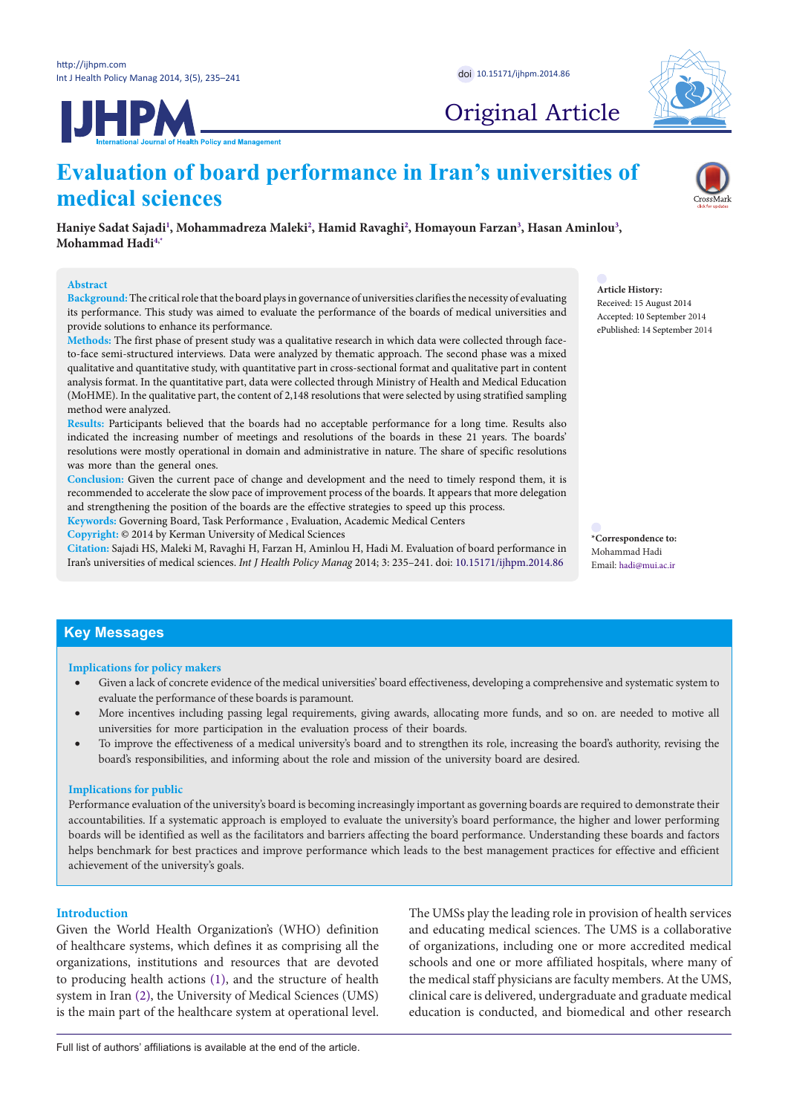**JHPM** 



Original Article

# **Evaluation of board performance in Iran's universities of medical sciences**

**Haniye Sadat Sajad[i1](#page-6-0) , Mohammadreza Maleki[2](#page-6-1) , Hamid Ravaghi[2](#page-6-1) , Homayoun Farzan[3](#page-6-2) , Hasan Aminlou[3](#page-6-2) , Mohammad Had[i4](#page-6-3),[\\*](#page-0-0)**

# **Abstract**

**Background:** The critical role that the board plays in governance of universities clarifies the necessity of evaluating its performance. This study was aimed to evaluate the performance of the boards of medical universities and provide solutions to enhance its performance.

**Methods:** The first phase of present study was a qualitative research in which data were collected through faceto-face semi-structured interviews. Data were analyzed by thematic approach. The second phase was a mixed qualitative and quantitative study, with quantitative part in cross-sectional format and qualitative part in content analysis format. In the quantitative part, data were collected through Ministry of Health and Medical Education (MoHME). In the qualitative part, the content of 2,148 resolutions that were selected by using stratified sampling method were analyzed.

**Results:** Participants believed that the boards had no acceptable performance for a long time. Results also indicated the increasing number of meetings and resolutions of the boards in these 21 years. The boards' resolutions were mostly operational in domain and administrative in nature. The share of specific resolutions was more than the general ones.

**Conclusion:** Given the current pace of change and development and the need to timely respond them, it is recommended to accelerate the slow pace of improvement process of the boards. It appears that more delegation and strengthening the position of the boards are the effective strategies to speed up this process.

**Keywords:** Governing Board, Task Performance , Evaluation, Academic Medical Centers

**Copyright:** © 2014 by Kerman University of Medical Sciences

**Citation:** Sajadi HS, Maleki M, Ravaghi H, Farzan H, Aminlou H, Hadi M. Evaluation of board performance in Iran's universities of medical sciences. *Int J Health Policy Manag* 2014; 3: 235–241. doi: [10.15171/ijhpm.2014.86](http://dx.doi.org/10.15171/ijhpm.2014.86)

**Article History:** Received: 15 August 2014 Accepted: 10 September 2014 ePublished: 14 September 2014

<span id="page-0-0"></span>**\*Correspondence to:** Mohammad Hadi Email: hadi@mui.ac.ir

# **Key Messages**

#### **Implications for policy makers**

- Given a lack of concrete evidence of the medical universities' board effectiveness, developing a comprehensive and systematic system to evaluate the performance of these boards is paramount.
- More incentives including passing legal requirements, giving awards, allocating more funds, and so on. are needed to motive all universities for more participation in the evaluation process of their boards.
- To improve the effectiveness of a medical university's board and to strengthen its role, increasing the board's authority, revising the board's responsibilities, and informing about the role and mission of the university board are desired.

#### **Implications for public**

Performance evaluation of the university's board is becoming increasingly important as governing boards are required to demonstrate their accountabilities. If a systematic approach is employed to evaluate the university's board performance, the higher and lower performing boards will be identified as well as the facilitators and barriers affecting the board performance. Understanding these boards and factors helps benchmark for best practices and improve performance which leads to the best management practices for effective and efficient achievement of the university's goals.

# **Introduction**

Given the World Health Organization's (WHO) definition of healthcare systems, which defines it as comprising all the organizations, institutions and resources that are devoted to producing health actions [\(1](#page-6-4)), and the structure of health system in Iran ([2](#page-6-5)), the University of Medical Sciences (UMS) is the main part of the healthcare system at operational level. The UMSs play the leading role in provision of health services and educating medical sciences. The UMS is a collaborative of organizations, including one or more accredited medical schools and one or more affiliated hospitals, where many of the medical staff physicians are faculty members. At the UMS, clinical care is delivered, undergraduate and graduate medical education is conducted, and biomedical and other research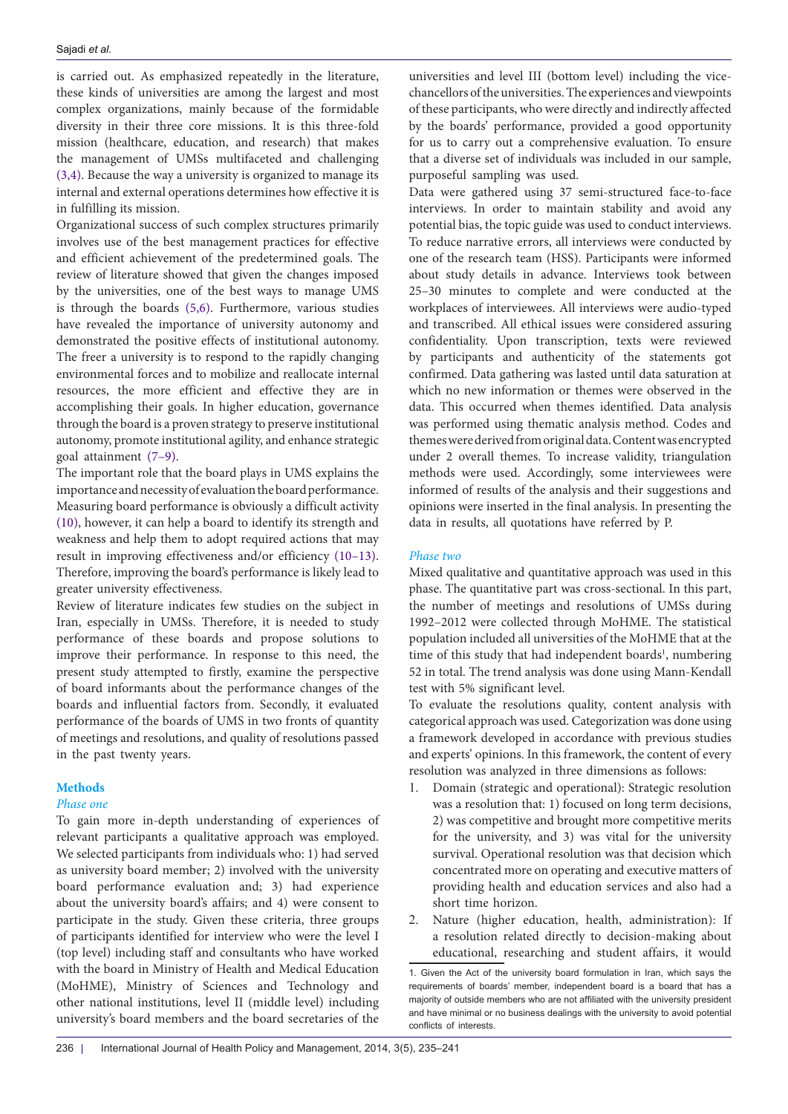is carried out. As emphasized repeatedly in the literature, these kinds of universities are among the largest and most complex organizations, mainly because of the formidable diversity in their three core missions. It is this three-fold mission (healthcare, education, and research) that makes the management of UMSs multifaceted and challenging ([3,](#page-6-6)[4\)](#page-6-7). Because the way a university is organized to manage its internal and external operations determines how effective it is in fulfilling its mission.

Organizational success of such complex structures primarily involves use of the best management practices for effective and efficient achievement of the predetermined goals. The review of literature showed that given the changes imposed by the universities, one of the best ways to manage UMS is through the boards ([5](#page-6-8),[6](#page-6-9)). Furthermore, various studies have revealed the importance of university autonomy and demonstrated the positive effects of institutional autonomy. The freer a university is to respond to the rapidly changing environmental forces and to mobilize and reallocate internal resources, the more efficient and effective they are in accomplishing their goals. In higher education, governance through the board is a proven strategy to preserve institutional autonomy, promote institutional agility, and enhance strategic goal attainment ([7](#page-6-10)–[9](#page-6-11)).

The important role that the board plays in UMS explains the importance and necessity of evaluation the board performance. Measuring board performance is obviously a difficult activity ([10\)](#page-6-12), however, it can help a board to identify its strength and weakness and help them to adopt required actions that may result in improving effectiveness and/or efficiency [\(10–](#page-6-12)[13\)](#page-6-13). Therefore, improving the board's performance is likely lead to greater university effectiveness.

Review of literature indicates few studies on the subject in Iran, especially in UMSs. Therefore, it is needed to study performance of these boards and propose solutions to improve their performance. In response to this need, the present study attempted to firstly, examine the perspective of board informants about the performance changes of the boards and influential factors from. Secondly, it evaluated performance of the boards of UMS in two fronts of quantity of meetings and resolutions, and quality of resolutions passed in the past twenty years.

# **Methods**

# *Phase one*

To gain more in-depth understanding of experiences of relevant participants a qualitative approach was employed. We selected participants from individuals who: 1) had served as university board member; 2) involved with the university board performance evaluation and; 3) had experience about the university board's affairs; and 4) were consent to participate in the study. Given these criteria, three groups of participants identified for interview who were the level I (top level) including staff and consultants who have worked with the board in Ministry of Health and Medical Education (MoHME), Ministry of Sciences and Technology and other national institutions, level II (middle level) including university's board members and the board secretaries of the

universities and level III (bottom level) including the vicechancellors of the universities. The experiences and viewpoints of these participants, who were directly and indirectly affected by the boards' performance, provided a good opportunity for us to carry out a comprehensive evaluation. To ensure that a diverse set of individuals was included in our sample, purposeful sampling was used.

Data were gathered using 37 semi-structured face-to-face interviews. In order to maintain stability and avoid any potential bias, the topic guide was used to conduct interviews. To reduce narrative errors, all interviews were conducted by one of the research team (HSS). Participants were informed about study details in advance. Interviews took between 25–30 minutes to complete and were conducted at the workplaces of interviewees. All interviews were audio-typed and transcribed. All ethical issues were considered assuring confidentiality. Upon transcription, texts were reviewed by participants and authenticity of the statements got confirmed. Data gathering was lasted until data saturation at which no new information or themes were observed in the data. This occurred when themes identified. Data analysis was performed using thematic analysis method. Codes and themes were derived from original data. Content was encrypted under 2 overall themes. To increase validity, triangulation methods were used. Accordingly, some interviewees were informed of results of the analysis and their suggestions and opinions were inserted in the final analysis. In presenting the data in results, all quotations have referred by P.

#### *Phase two*

Mixed qualitative and quantitative approach was used in this phase. The quantitative part was cross-sectional. In this part, the number of meetings and resolutions of UMSs during 1992–2012 were collected through MoHME. The statistical population included all universities of the MoHME that at the time of this study that had independent boards<sup>1</sup>, numbering 52 in total. The trend analysis was done using Mann-Kendall test with 5% significant level.

To evaluate the resolutions quality, content analysis with categorical approach was used. Categorization was done using a framework developed in accordance with previous studies and experts' opinions. In this framework, the content of every resolution was analyzed in three dimensions as follows:

- 1. Domain (strategic and operational): Strategic resolution was a resolution that: 1) focused on long term decisions, 2) was competitive and brought more competitive merits for the university, and 3) was vital for the university survival. Operational resolution was that decision which concentrated more on operating and executive matters of providing health and education services and also had a short time horizon.
- 2. Nature (higher education, health, administration): If a resolution related directly to decision-making about educational, researching and student affairs, it would

<sup>1</sup>. Given the Act of the university board formulation in Iran, which says the requirements of boards' member, independent board is a board that has a majority of outside members who are not affiliated with the university president and have minimal or no business dealings with the university to avoid potential conflicts of interests.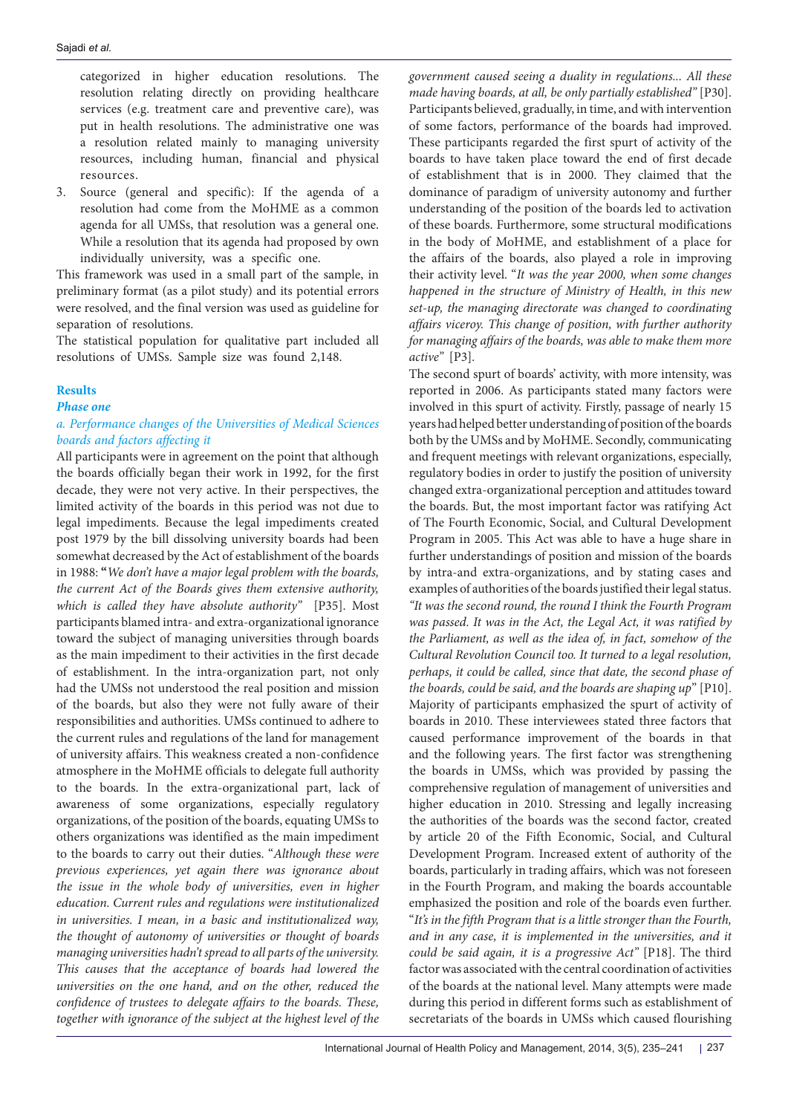categorized in higher education resolutions. The resolution relating directly on providing healthcare services (e.g. treatment care and preventive care), was put in health resolutions. The administrative one was a resolution related mainly to managing university resources, including human, financial and physical resources.

3. Source (general and specific): If the agenda of a resolution had come from the MoHME as a common agenda for all UMSs, that resolution was a general one. While a resolution that its agenda had proposed by own individually university, was a specific one.

This framework was used in a small part of the sample, in preliminary format (as a pilot study) and its potential errors were resolved, and the final version was used as guideline for separation of resolutions.

The statistical population for qualitative part included all resolutions of UMSs. Sample size was found 2,148.

# **Results**

*Phase one*

# *a. Performance changes of the Universities of Medical Sciences boards and factors affecting it*

All participants were in agreement on the point that although the boards officially began their work in 1992, for the first decade, they were not very active. In their perspectives, the limited activity of the boards in this period was not due to legal impediments. Because the legal impediments created post 1979 by the bill dissolving university boards had been somewhat decreased by the Act of establishment of the boards in 1988: **"***We don't have a major legal problem with the boards, the current Act of the Boards gives them extensive authority, which is called they have absolute authority"* [P35]. Most participants blamed intra- and extra-organizational ignorance toward the subject of managing universities through boards as the main impediment to their activities in the first decade of establishment. In the intra-organization part, not only had the UMSs not understood the real position and mission of the boards, but also they were not fully aware of their responsibilities and authorities. UMSs continued to adhere to the current rules and regulations of the land for management of university affairs. This weakness created a non-confidence atmosphere in the MoHME officials to delegate full authority to the boards. In the extra-organizational part, lack of awareness of some organizations, especially regulatory organizations, of the position of the boards, equating UMSs to others organizations was identified as the main impediment to the boards to carry out their duties. "*Although these were previous experiences, yet again there was ignorance about the issue in the whole body of universities, even in higher education. Current rules and regulations were institutionalized in universities. I mean, in a basic and institutionalized way, the thought of autonomy of universities or thought of boards managing universities hadn't spread to all parts of the university. This causes that the acceptance of boards had lowered the universities on the one hand, and on the other, reduced the confidence of trustees to delegate affairs to the boards. These, together with ignorance of the subject at the highest level of the* 

*government caused seeing a duality in regulations... All these made having boards, at all, be only partially established"* [P30]. Participants believed, gradually, in time, and with intervention of some factors, performance of the boards had improved. These participants regarded the first spurt of activity of the boards to have taken place toward the end of first decade of establishment that is in 2000. They claimed that the dominance of paradigm of university autonomy and further understanding of the position of the boards led to activation of these boards. Furthermore, some structural modifications in the body of MoHME, and establishment of a place for the affairs of the boards, also played a role in improving their activity level. "*It was the year 2000, when some changes happened in the structure of Ministry of Health, in this new set-up, the managing directorate was changed to coordinating affairs viceroy. This change of position, with further authority for managing affairs of the boards, was able to make them more active"* [P3]*.*

The second spurt of boards' activity, with more intensity, was reported in 2006. As participants stated many factors were involved in this spurt of activity. Firstly, passage of nearly 15 years had helped better understanding of position of the boards both by the UMSs and by MoHME. Secondly, communicating and frequent meetings with relevant organizations, especially, regulatory bodies in order to justify the position of university changed extra-organizational perception and attitudes toward the boards. But, the most important factor was ratifying Act of The Fourth Economic, Social, and Cultural Development Program in 2005. This Act was able to have a huge share in further understandings of position and mission of the boards by intra-and extra-organizations, and by stating cases and examples of authorities of the boards justified their legal status. *"It was the second round, the round I think the Fourth Program was passed. It was in the Act, the Legal Act, it was ratified by the Parliament, as well as the idea of, in fact, somehow of the Cultural Revolution Council too. It turned to a legal resolution, perhaps, it could be called, since that date, the second phase of the boards, could be said, and the boards are shaping up*" [P10]. Majority of participants emphasized the spurt of activity of boards in 2010. These interviewees stated three factors that caused performance improvement of the boards in that and the following years. The first factor was strengthening the boards in UMSs, which was provided by passing the comprehensive regulation of management of universities and higher education in 2010. Stressing and legally increasing the authorities of the boards was the second factor, created by article 20 of the Fifth Economic, Social, and Cultural Development Program. Increased extent of authority of the boards, particularly in trading affairs, which was not foreseen in the Fourth Program, and making the boards accountable emphasized the position and role of the boards even further. "*It's in the fifth Program that is a little stronger than the Fourth, and in any case, it is implemented in the universities, and it could be said again, it is a progressive Act"* [P18]. The third factor was associated with the central coordination of activities of the boards at the national level. Many attempts were made during this period in different forms such as establishment of secretariats of the boards in UMSs which caused flourishing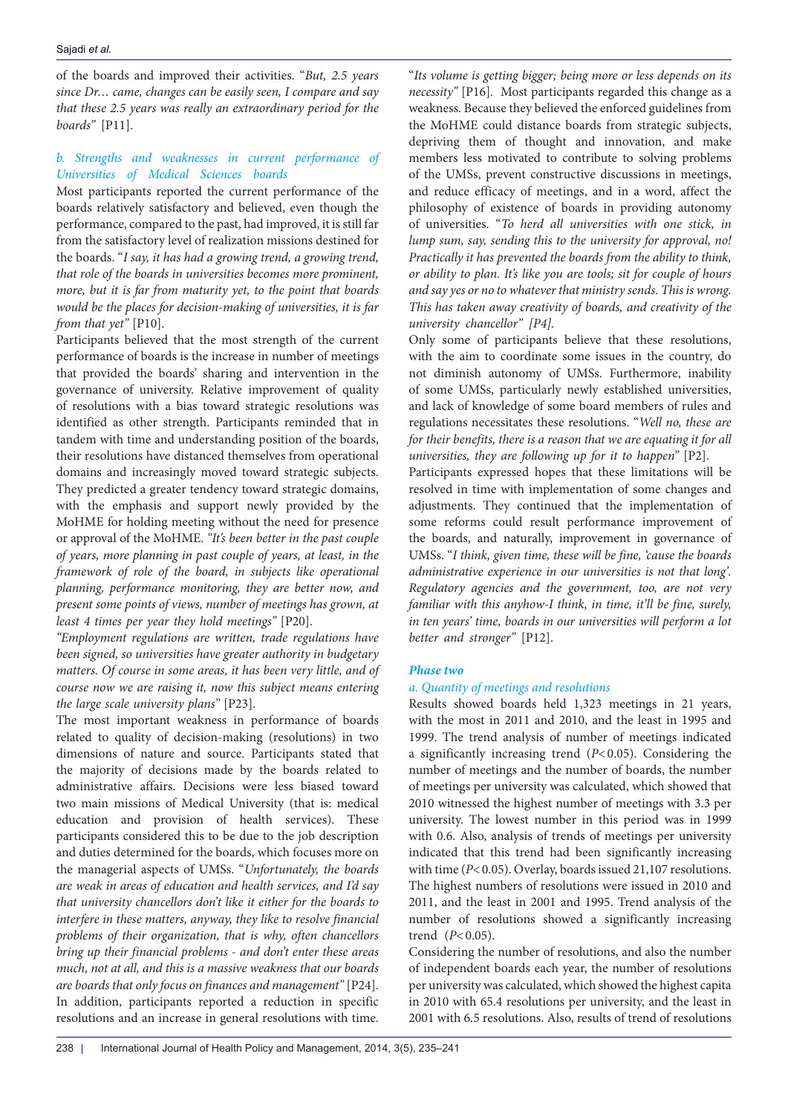of the boards and improved their activities. "*But, 2.5 years since Dr… came, changes can be easily seen, I compare and say that these 2.5 years was really an extraordinary period for the boards"* [P11].

# *b. Strengths and weaknesses in current performance of Universities of Medical Sciences boards*

Most participants reported the current performance of the boards relatively satisfactory and believed, even though the performance, compared to the past, had improved, it is still far from the satisfactory level of realization missions destined for the boards. "*I say, it has had a growing trend, a growing trend, that role of the boards in universities becomes more prominent, more, but it is far from maturity yet, to the point that boards would be the places for decision-making of universities, it is far from that yet"* [P10].

Participants believed that the most strength of the current performance of boards is the increase in number of meetings that provided the boards' sharing and intervention in the governance of university. Relative improvement of quality of resolutions with a bias toward strategic resolutions was identified as other strength. Participants reminded that in tandem with time and understanding position of the boards, their resolutions have distanced themselves from operational domains and increasingly moved toward strategic subjects. They predicted a greater tendency toward strategic domains, with the emphasis and support newly provided by the MoHME for holding meeting without the need for presence or approval of the MoHME. *"It's been better in the past couple of years, more planning in past couple of years, at least, in the framework of role of the board, in subjects like operational planning, performance monitoring, they are better now, and present some points of views, number of meetings has grown, at least 4 times per year they hold meetings"* [P20].

*"Employment regulations are written, trade regulations have been signed, so universities have greater authority in budgetary matters. Of course in some areas, it has been very little, and of course now we are raising it, now this subject means entering the large scale university plans"* [P23].

The most important weakness in performance of boards related to quality of decision-making (resolutions) in two dimensions of nature and source. Participants stated that the majority of decisions made by the boards related to administrative affairs. Decisions were less biased toward two main missions of Medical University (that is: medical education and provision of health services). These participants considered this to be due to the job description and duties determined for the boards, which focuses more on the managerial aspects of UMSs. "*Unfortunately, the boards are weak in areas of education and health services, and I'd say that university chancellors don't like it either for the boards to interfere in these matters, anyway, they like to resolve financial problems of their organization, that is why, often chancellors bring up their financial problems - and don't enter these areas much, not at all, and this is a massive weakness that our boards are boards that only focus on finances and management"* [P24]. In addition, participants reported a reduction in specific resolutions and an increase in general resolutions with time.

"*Its volume is getting bigger; being more or less depends on its necessity"* [P16]*.* Most participants regarded this change as a weakness. Because they believed the enforced guidelines from the MoHME could distance boards from strategic subjects, depriving them of thought and innovation, and make members less motivated to contribute to solving problems of the UMSs, prevent constructive discussions in meetings, and reduce efficacy of meetings, and in a word, affect the philosophy of existence of boards in providing autonomy of universities. "*To herd all universities with one stick, in lump sum, say, sending this to the university for approval, no! Practically it has prevented the boards from the ability to think, or ability to plan. It's like you are tools; sit for couple of hours and say yes or no to whatever that ministry sends. This is wrong. This has taken away creativity of boards, and creativity of the university chancellor" [P4].*

Only some of participants believe that these resolutions, with the aim to coordinate some issues in the country, do not diminish autonomy of UMSs. Furthermore, inability of some UMSs, particularly newly established universities, and lack of knowledge of some board members of rules and regulations necessitates these resolutions. "*Well no, these are*  for their benefits, there is a reason that we are equating it for all *universities, they are following up for it to happen"* [P2].

Participants expressed hopes that these limitations will be resolved in time with implementation of some changes and adjustments. They continued that the implementation of some reforms could result performance improvement of the boards, and naturally, improvement in governance of UMSs. "*I think, given time, these will be fine, 'cause the boards administrative experience in our universities is not that long'. Regulatory agencies and the government, too, are not very familiar with this anyhow-I think, in time, it'll be fine, surely, in ten years' time, boards in our universities will perform a lot better and stronger"* [P12].

# *Phase two*

# *a. Quantity of meetings and resolutions*

Results showed boards held 1,323 meetings in 21 years, with the most in 2011 and 2010, and the least in 1995 and 1999. The trend analysis of number of meetings indicated a significantly increasing trend (*P*<0.05). Considering the number of meetings and the number of boards, the number of meetings per university was calculated, which showed that 2010 witnessed the highest number of meetings with 3.3 per university. The lowest number in this period was in 1999 with 0.6. Also, analysis of trends of meetings per university indicated that this trend had been significantly increasing with time ( $P$ <0.05). Overlay, boards issued 21,107 resolutions. The highest numbers of resolutions were issued in 2010 and 2011, and the least in 2001 and 1995. Trend analysis of the number of resolutions showed a significantly increasing trend ( $P < 0.05$ ).

Considering the number of resolutions, and also the number of independent boards each year, the number of resolutions per university was calculated, which showed the highest capita in 2010 with 65.4 resolutions per university, and the least in 2001 with 6.5 resolutions. Also, results of trend of resolutions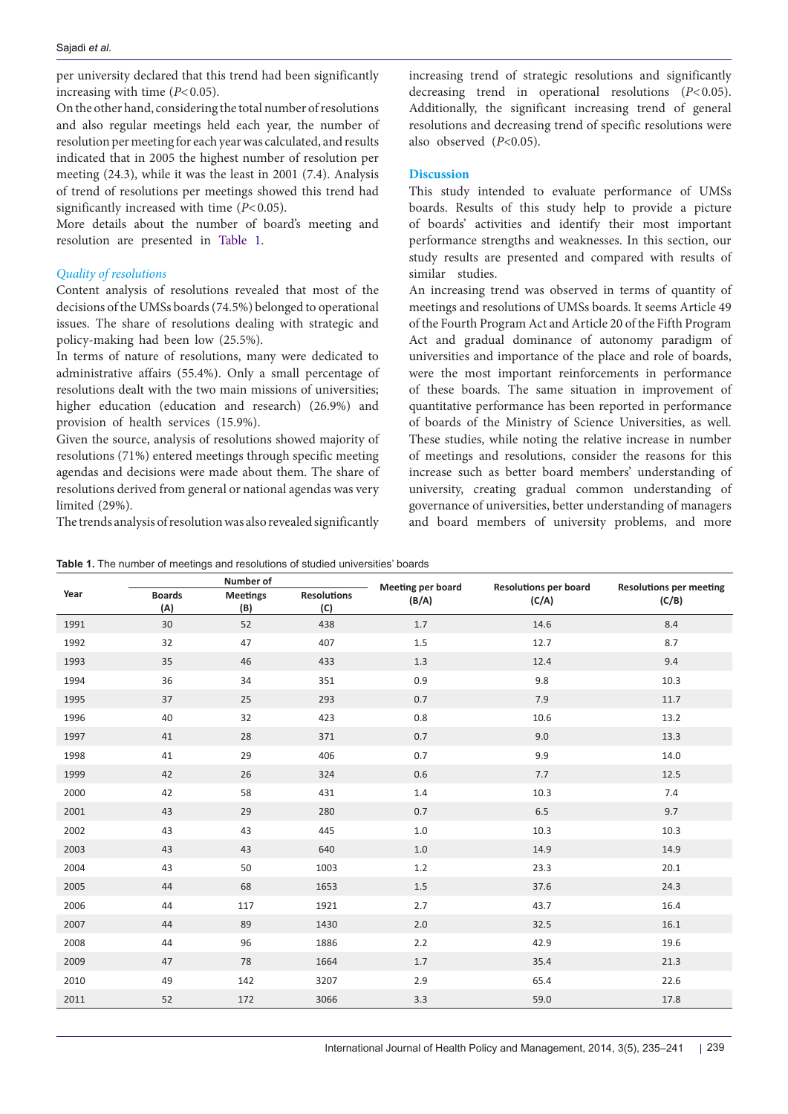per university declared that this trend had been significantly increasing with time  $(P<0.05)$ .

On the other hand, considering the total number of resolutions and also regular meetings held each year, the number of resolution per meeting for each year was calculated, and results indicated that in 2005 the highest number of resolution per meeting (24.3), while it was the least in 2001 (7.4). Analysis of trend of resolutions per meetings showed this trend had significantly increased with time ( $P < 0.05$ ).

More details about the number of board's meeting and resolution are presented in [Table 1](#page-4-0).

# *Quality of resolutions*

Content analysis of resolutions revealed that most of the decisions of the UMSs boards (74.5%) belonged to operational issues. The share of resolutions dealing with strategic and policy-making had been low (25.5%).

In terms of nature of resolutions, many were dedicated to administrative affairs (55.4%). Only a small percentage of resolutions dealt with the two main missions of universities; higher education (education and research) (26.9%) and provision of health services (15.9%).

Given the source, analysis of resolutions showed majority of resolutions (71%) entered meetings through specific meeting agendas and decisions were made about them. The share of resolutions derived from general or national agendas was very limited (29%).

The trends analysis of resolution was also revealed significantly

increasing trend of strategic resolutions and significantly decreasing trend in operational resolutions (*P*<0.05). Additionally, the significant increasing trend of general resolutions and decreasing trend of specific resolutions were also observed (*P*<0.05).

# **Discussion**

This study intended to evaluate performance of UMSs boards. Results of this study help to provide a picture of boards' activities and identify their most important performance strengths and weaknesses. In this section, our study results are presented and compared with results of similar studies.

An increasing trend was observed in terms of quantity of meetings and resolutions of UMSs boards. It seems Article 49 of the Fourth Program Act and Article 20 of the Fifth Program Act and gradual dominance of autonomy paradigm of universities and importance of the place and role of boards, were the most important reinforcements in performance of these boards. The same situation in improvement of quantitative performance has been reported in performance of boards of the Ministry of Science Universities, as well. These studies, while noting the relative increase in number of meetings and resolutions, consider the reasons for this increase such as better board members' understanding of university, creating gradual common understanding of governance of universities, better understanding of managers and board members of university problems, and more

|      | Number of            |                        |                           | Meeting per board | <b>Resolutions per board</b> | <b>Resolutions per meeting</b> |
|------|----------------------|------------------------|---------------------------|-------------------|------------------------------|--------------------------------|
| Year | <b>Boards</b><br>(A) | <b>Meetings</b><br>(B) | <b>Resolutions</b><br>(C) | (B/A)             | (C/A)                        | (C/B)                          |
| 1991 | 30                   | 52                     | 438                       | 1.7               | 14.6                         | 8.4                            |
| 1992 | 32                   | 47                     | 407                       | 1.5               | 12.7                         | 8.7                            |
| 1993 | 35                   | 46                     | 433                       | 1.3               | 12.4                         | 9.4                            |
| 1994 | 36                   | 34                     | 351                       | 0.9               | 9.8                          | 10.3                           |
| 1995 | 37                   | 25                     | 293                       | 0.7               | 7.9                          | 11.7                           |
| 1996 | 40                   | 32                     | 423                       | 0.8               | 10.6                         | 13.2                           |
| 1997 | 41                   | 28                     | 371                       | 0.7               | 9.0                          | 13.3                           |
| 1998 | 41                   | 29                     | 406                       | 0.7               | 9.9                          | 14.0                           |
| 1999 | 42                   | 26                     | 324                       | 0.6               | 7.7                          | 12.5                           |
| 2000 | 42                   | 58                     | 431                       | 1.4               | 10.3                         | 7.4                            |
| 2001 | 43                   | 29                     | 280                       | 0.7               | 6.5                          | 9.7                            |
| 2002 | 43                   | 43                     | 445                       | 1.0               | 10.3                         | 10.3                           |
| 2003 | 43                   | 43                     | 640                       | 1.0               | 14.9                         | 14.9                           |
| 2004 | 43                   | 50                     | 1003                      | 1.2               | 23.3                         | 20.1                           |
| 2005 | 44                   | 68                     | 1653                      | $1.5$             | 37.6                         | 24.3                           |
| 2006 | 44                   | 117                    | 1921                      | 2.7               | 43.7                         | 16.4                           |
| 2007 | 44                   | 89                     | 1430                      | 2.0               | 32.5                         | 16.1                           |
| 2008 | 44                   | 96                     | 1886                      | 2.2               | 42.9                         | 19.6                           |
| 2009 | 47                   | 78                     | 1664                      | 1.7               | 35.4                         | 21.3                           |
| 2010 | 49                   | 142                    | 3207                      | 2.9               | 65.4                         | 22.6                           |
| 2011 | 52                   | 172                    | 3066                      | 3.3               | 59.0                         | 17.8                           |

<span id="page-4-0"></span>**Table 1.** The number of meetings and resolutions of studied universities' boards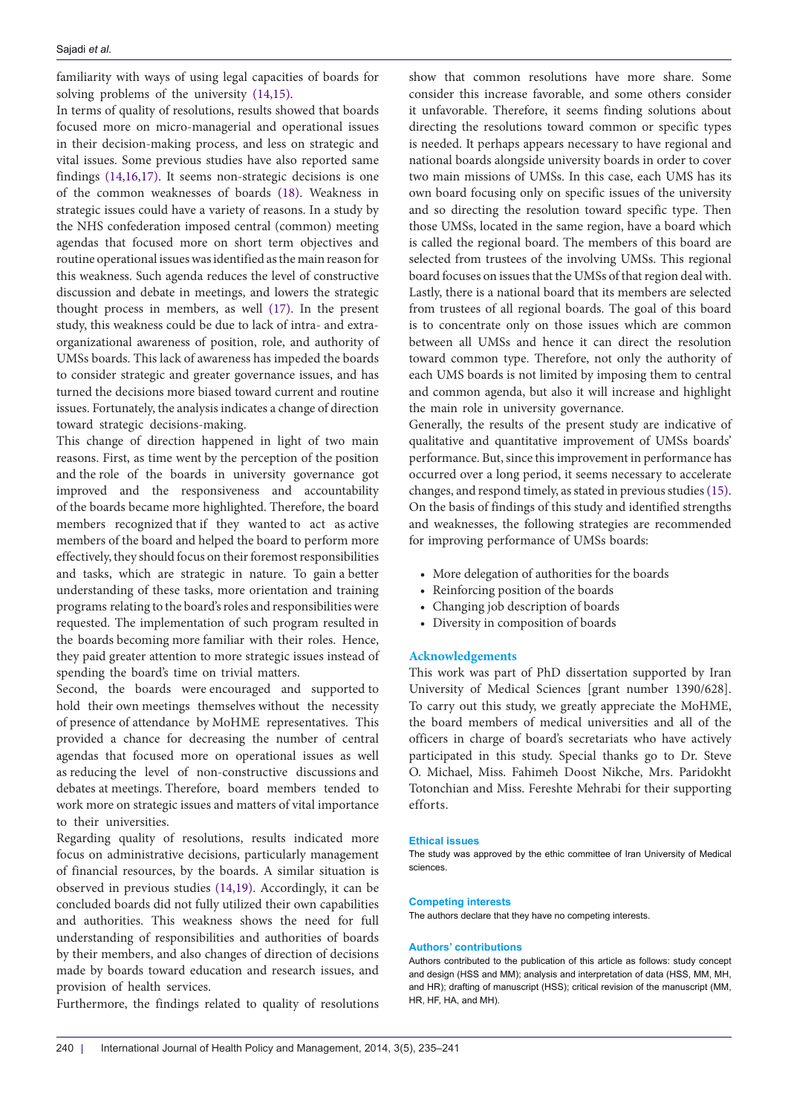familiarity with ways of using legal capacities of boards for solving problems of the university [\(14](#page-6-14)[,15\)](#page-6-15).

In terms of quality of resolutions, results showed that boards focused more on micro-managerial and operational issues in their decision-making process, and less on strategic and vital issues. Some previous studies have also reported same findings ([14](#page-6-14),[16](#page-6-16),[17](#page-6-17)). It seems non-strategic decisions is one of the common weaknesses of boards [\(18\)](#page-6-18). Weakness in strategic issues could have a variety of reasons. In a study by the NHS confederation imposed central (common) meeting agendas that focused more on short term objectives and routine operational issues was identified as the main reason for this weakness. Such agenda reduces the level of constructive discussion and debate in meetings, and lowers the strategic thought process in members, as well ([17](#page-6-17)). In the present study, this weakness could be due to lack of intra- and extraorganizational awareness of position, role, and authority of UMSs boards. This lack of awareness has impeded the boards to consider strategic and greater governance issues, and has turned the decisions more biased toward current and routine issues. Fortunately, the analysis indicates a change of direction toward strategic decisions-making.

This change of direction happened in light of two main reasons. First, as time went by the perception of the position and the role of the boards in university governance got improved and the responsiveness and accountability of the boards became more highlighted. Therefore, the board members recognized that if they wanted to act as active members of the board and helped the board to perform more effectively, they should focus on their foremost responsibilities and tasks, which are strategic in nature. To gain a better understanding of these tasks, more orientation and training programs relating to the board's roles and responsibilities were requested. The implementation of such program resulted in the boards becoming more familiar with their roles. Hence, they paid greater attention to more strategic issues instead of spending the board's time on trivial matters.

Second, the boards were encouraged and supported to hold their own meetings themselves without the necessity of presence of attendance by MoHME representatives. This provided a chance for decreasing the number of central agendas that focused more on operational issues as well as reducing the level of non-constructive discussions and debates at meetings. Therefore, board members tended to work more on strategic issues and matters of vital importance to their universities.

Regarding quality of resolutions, results indicated more focus on administrative decisions, particularly management of financial resources, by the boards. A similar situation is observed in previous studies [\(14,](#page-6-14)[19\)](#page-6-19). Accordingly, it can be concluded boards did not fully utilized their own capabilities and authorities. This weakness shows the need for full understanding of responsibilities and authorities of boards by their members, and also changes of direction of decisions made by boards toward education and research issues, and provision of health services.

Furthermore, the findings related to quality of resolutions

show that common resolutions have more share. Some consider this increase favorable, and some others consider it unfavorable. Therefore, it seems finding solutions about directing the resolutions toward common or specific types is needed. It perhaps appears necessary to have regional and national boards alongside university boards in order to cover two main missions of UMSs. In this case, each UMS has its own board focusing only on specific issues of the university and so directing the resolution toward specific type. Then those UMSs, located in the same region, have a board which is called the regional board. The members of this board are selected from trustees of the involving UMSs. This regional board focuses on issues that the UMSs of that region deal with. Lastly, there is a national board that its members are selected from trustees of all regional boards. The goal of this board is to concentrate only on those issues which are common between all UMSs and hence it can direct the resolution toward common type. Therefore, not only the authority of each UMS boards is not limited by imposing them to central and common agenda, but also it will increase and highlight the main role in university governance.

Generally, the results of the present study are indicative of qualitative and quantitative improvement of UMSs boards' performance. But, since this improvement in performance has occurred over a long period, it seems necessary to accelerate changes, and respond timely, as stated in previous studies [\(15](#page-6-15)). On the basis of findings of this study and identified strengths and weaknesses, the following strategies are recommended for improving performance of UMSs boards:

- More delegation of authorities for the boards
- Reinforcing position of the boards
- Changing job description of boards
- Diversity in composition of boards

### **Acknowledgements**

This work was part of PhD dissertation supported by Iran University of Medical Sciences [grant number 1390/628]. To carry out this study, we greatly appreciate the MoHME, the board members of medical universities and all of the officers in charge of board's secretariats who have actively participated in this study. Special thanks go to Dr. Steve O. Michael, Miss. Fahimeh Doost Nikche, Mrs. Paridokht Totonchian and Miss. Fereshte Mehrabi for their supporting efforts.

#### **Ethical issues**

The study was approved by the ethic committee of Iran University of Medical sciences.

#### **Competing interests**

The authors declare that they have no competing interests.

#### **Authors' contributions**

Authors contributed to the publication of this article as follows: study concept and design (HSS and MM); analysis and interpretation of data (HSS, MM, MH, and HR); drafting of manuscript (HSS); critical revision of the manuscript (MM, HR, HF, HA, and MH).